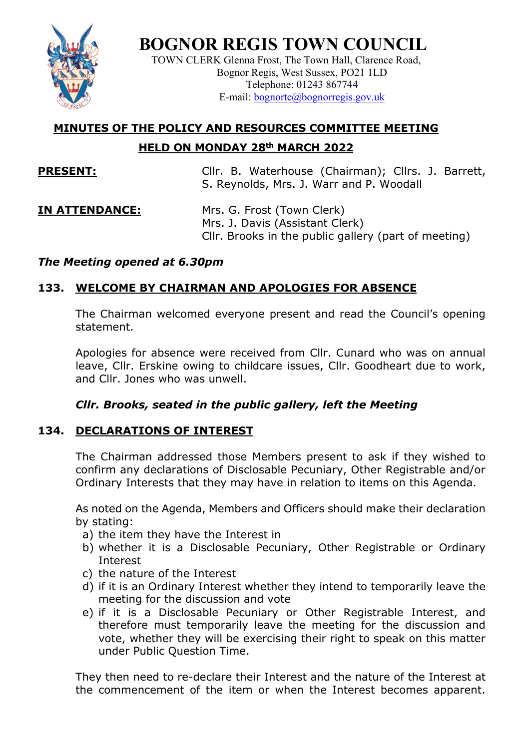

**BOGNOR REGIS TOWN COUNCIL**

TOWN CLERK Glenna Frost, The Town Hall, Clarence Road, Bognor Regis, West Sussex, PO21 1LD Telephone: 01243 867744 E-mail: [bognortc@bognorregis.gov.uk](mailto:bognortc@bognorregis.gov.uk)

# **MINUTES OF THE POLICY AND RESOURCES COMMITTEE MEETING HELD ON MONDAY 28th MARCH 2022**

**PRESENT:** Cllr. B. Waterhouse (Chairman); Cllrs. J. Barrett, S. Reynolds, Mrs. J. Warr and P. Woodall

**IN ATTENDANCE:** Mrs. G. Frost (Town Clerk) Mrs. J. Davis (Assistant Clerk) Cllr. Brooks in the public gallery (part of meeting)

# *The Meeting opened at 6.30pm*

# **133. WELCOME BY CHAIRMAN AND APOLOGIES FOR ABSENCE**

The Chairman welcomed everyone present and read the Council's opening statement.

Apologies for absence were received from Cllr. Cunard who was on annual leave, Cllr. Erskine owing to childcare issues, Cllr. Goodheart due to work, and Cllr. Jones who was unwell.

# *Cllr. Brooks, seated in the public gallery, left the Meeting*

# **134. DECLARATIONS OF INTEREST**

The Chairman addressed those Members present to ask if they wished to confirm any declarations of Disclosable Pecuniary, Other Registrable and/or Ordinary Interests that they may have in relation to items on this Agenda.

As noted on the Agenda, Members and Officers should make their declaration by stating:

- a) the item they have the Interest in
- b) whether it is a Disclosable Pecuniary, Other Registrable or Ordinary Interest
- c) the nature of the Interest
- d) if it is an Ordinary Interest whether they intend to temporarily leave the meeting for the discussion and vote
- e) if it is a Disclosable Pecuniary or Other Registrable Interest, and therefore must temporarily leave the meeting for the discussion and vote, whether they will be exercising their right to speak on this matter under Public Question Time.

They then need to re-declare their Interest and the nature of the Interest at the commencement of the item or when the Interest becomes apparent.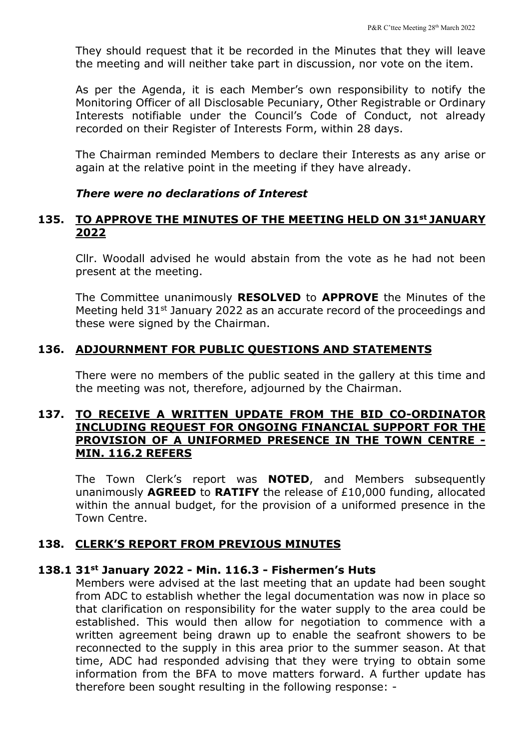They should request that it be recorded in the Minutes that they will leave the meeting and will neither take part in discussion, nor vote on the item.

As per the Agenda, it is each Member's own responsibility to notify the Monitoring Officer of all Disclosable Pecuniary, Other Registrable or Ordinary Interests notifiable under the Council's Code of Conduct, not already recorded on their Register of Interests Form, within 28 days.

The Chairman reminded Members to declare their Interests as any arise or again at the relative point in the meeting if they have already.

#### *There were no declarations of Interest*

# **135. TO APPROVE THE MINUTES OF THE MEETING HELD ON 31st JANUARY 2022**

Cllr. Woodall advised he would abstain from the vote as he had not been present at the meeting.

The Committee unanimously **RESOLVED** to **APPROVE** the Minutes of the Meeting held 31<sup>st</sup> January 2022 as an accurate record of the proceedings and these were signed by the Chairman.

#### **136. ADJOURNMENT FOR PUBLIC QUESTIONS AND STATEMENTS**

There were no members of the public seated in the gallery at this time and the meeting was not, therefore, adjourned by the Chairman.

# **137. TO RECEIVE A WRITTEN UPDATE FROM THE BID CO-ORDINATOR INCLUDING REQUEST FOR ONGOING FINANCIAL SUPPORT FOR THE PROVISION OF A UNIFORMED PRESENCE IN THE TOWN CENTRE - MIN. 116.2 REFERS**

The Town Clerk's report was **NOTED**, and Members subsequently unanimously **AGREED** to **RATIFY** the release of £10,000 funding, allocated within the annual budget, for the provision of a uniformed presence in the Town Centre.

#### **138. CLERK'S REPORT FROM PREVIOUS MINUTES**

#### **138.1 31st January 2022 - Min. 116.3 - Fishermen's Huts**

Members were advised at the last meeting that an update had been sought from ADC to establish whether the legal documentation was now in place so that clarification on responsibility for the water supply to the area could be established. This would then allow for negotiation to commence with a written agreement being drawn up to enable the seafront showers to be reconnected to the supply in this area prior to the summer season. At that time, ADC had responded advising that they were trying to obtain some information from the BFA to move matters forward. A further update has therefore been sought resulting in the following response: -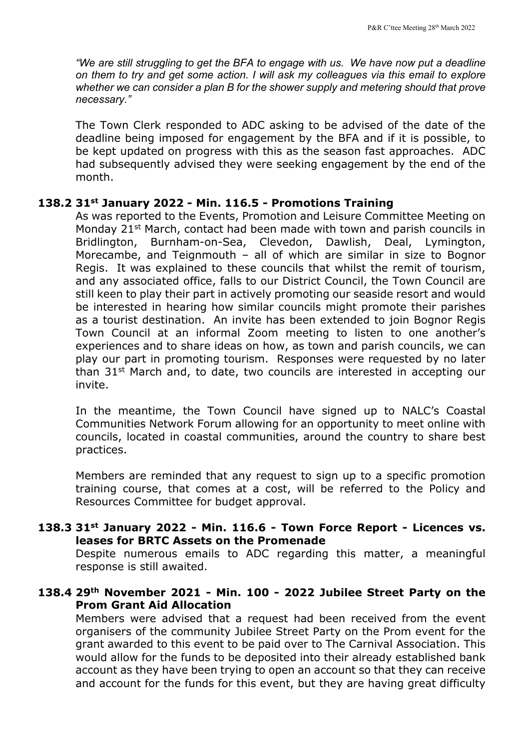*"We are still struggling to get the BFA to engage with us. We have now put a deadline on them to try and get some action. I will ask my colleagues via this email to explore whether we can consider a plan B for the shower supply and metering should that prove necessary."*

The Town Clerk responded to ADC asking to be advised of the date of the deadline being imposed for engagement by the BFA and if it is possible, to be kept updated on progress with this as the season fast approaches. ADC had subsequently advised they were seeking engagement by the end of the month.

#### **138.2 31st January 2022 - Min. 116.5 - Promotions Training**

As was reported to the Events, Promotion and Leisure Committee Meeting on Monday 21<sup>st</sup> March, contact had been made with town and parish councils in Bridlington, Burnham-on-Sea, Clevedon, Dawlish, Deal, Lymington, Morecambe, and Teignmouth – all of which are similar in size to Bognor Regis. It was explained to these councils that whilst the remit of tourism, and any associated office, falls to our District Council, the Town Council are still keen to play their part in actively promoting our seaside resort and would be interested in hearing how similar councils might promote their parishes as a tourist destination. An invite has been extended to join Bognor Regis Town Council at an informal Zoom meeting to listen to one another's experiences and to share ideas on how, as town and parish councils, we can play our part in promoting tourism. Responses were requested by no later than 31<sup>st</sup> March and, to date, two councils are interested in accepting our invite.

In the meantime, the Town Council have signed up to NALC's Coastal Communities Network Forum allowing for an opportunity to meet online with councils, located in coastal communities, around the country to share best practices.

Members are reminded that any request to sign up to a specific promotion training course, that comes at a cost, will be referred to the Policy and Resources Committee for budget approval.

# **138.3 31st January 2022 - Min. 116.6 - Town Force Report - Licences vs. leases for BRTC Assets on the Promenade**

Despite numerous emails to ADC regarding this matter, a meaningful response is still awaited.

# **138.4 29th November 2021 - Min. 100 - 2022 Jubilee Street Party on the Prom Grant Aid Allocation**

Members were advised that a request had been received from the event organisers of the community Jubilee Street Party on the Prom event for the grant awarded to this event to be paid over to The Carnival Association. This would allow for the funds to be deposited into their already established bank account as they have been trying to open an account so that they can receive and account for the funds for this event, but they are having great difficulty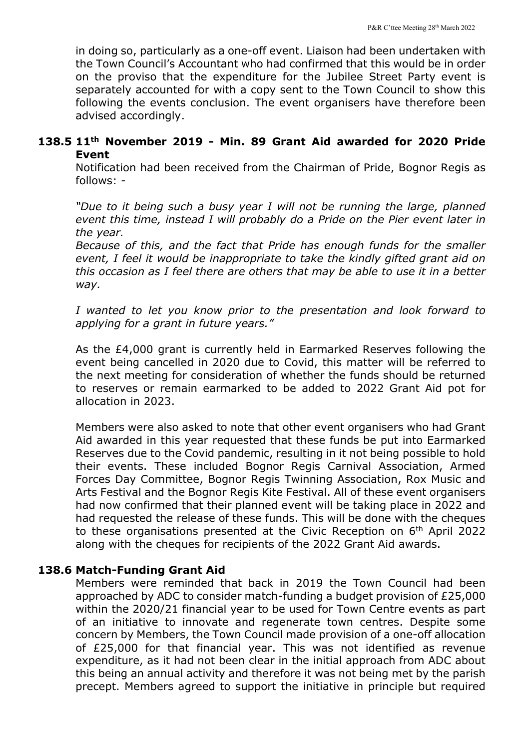in doing so, particularly as a one-off event. Liaison had been undertaken with the Town Council's Accountant who had confirmed that this would be in order on the proviso that the expenditure for the Jubilee Street Party event is separately accounted for with a copy sent to the Town Council to show this following the events conclusion. The event organisers have therefore been advised accordingly.

# **138.5 11th November 2019 - Min. 89 Grant Aid awarded for 2020 Pride Event**

Notification had been received from the Chairman of Pride, Bognor Regis as follows: -

*"Due to it being such a busy year I will not be running the large, planned event this time, instead I will probably do a Pride on the Pier event later in the year.* 

*Because of this, and the fact that Pride has enough funds for the smaller event, I feel it would be inappropriate to take the kindly gifted grant aid on this occasion as I feel there are others that may be able to use it in a better way.*

*I wanted to let you know prior to the presentation and look forward to applying for a grant in future years."* 

As the £4,000 grant is currently held in Earmarked Reserves following the event being cancelled in 2020 due to Covid, this matter will be referred to the next meeting for consideration of whether the funds should be returned to reserves or remain earmarked to be added to 2022 Grant Aid pot for allocation in 2023.

Members were also asked to note that other event organisers who had Grant Aid awarded in this year requested that these funds be put into Earmarked Reserves due to the Covid pandemic, resulting in it not being possible to hold their events. These included Bognor Regis Carnival Association, Armed Forces Day Committee, Bognor Regis Twinning Association, Rox Music and Arts Festival and the Bognor Regis Kite Festival. All of these event organisers had now confirmed that their planned event will be taking place in 2022 and had requested the release of these funds. This will be done with the cheques to these organisations presented at the Civic Reception on 6<sup>th</sup> April 2022 along with the cheques for recipients of the 2022 Grant Aid awards.

# **138.6 Match-Funding Grant Aid**

Members were reminded that back in 2019 the Town Council had been approached by ADC to consider match-funding a budget provision of £25,000 within the 2020/21 financial year to be used for Town Centre events as part of an initiative to innovate and regenerate town centres. Despite some concern by Members, the Town Council made provision of a one-off allocation of £25,000 for that financial year. This was not identified as revenue expenditure, as it had not been clear in the initial approach from ADC about this being an annual activity and therefore it was not being met by the parish precept. Members agreed to support the initiative in principle but required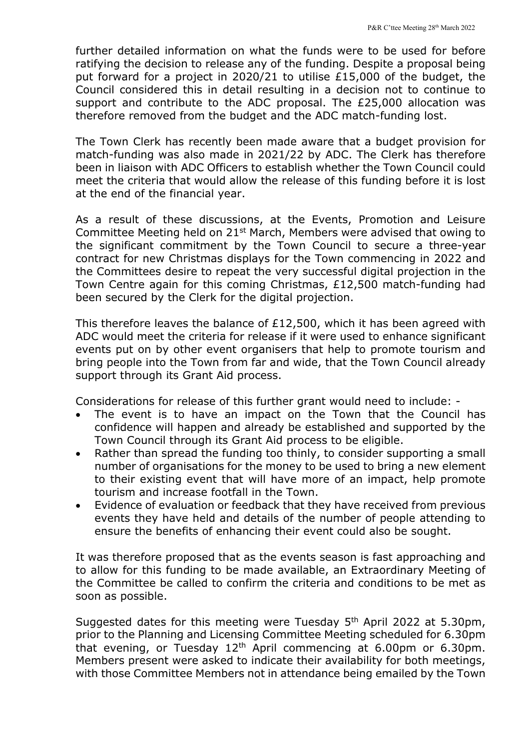further detailed information on what the funds were to be used for before ratifying the decision to release any of the funding. Despite a proposal being put forward for a project in 2020/21 to utilise £15,000 of the budget, the Council considered this in detail resulting in a decision not to continue to support and contribute to the ADC proposal. The £25,000 allocation was therefore removed from the budget and the ADC match-funding lost.

The Town Clerk has recently been made aware that a budget provision for match-funding was also made in 2021/22 by ADC. The Clerk has therefore been in liaison with ADC Officers to establish whether the Town Council could meet the criteria that would allow the release of this funding before it is lost at the end of the financial year.

As a result of these discussions, at the Events, Promotion and Leisure Committee Meeting held on 21st March, Members were advised that owing to the significant commitment by the Town Council to secure a three-year contract for new Christmas displays for the Town commencing in 2022 and the Committees desire to repeat the very successful digital projection in the Town Centre again for this coming Christmas, £12,500 match-funding had been secured by the Clerk for the digital projection.

This therefore leaves the balance of £12,500, which it has been agreed with ADC would meet the criteria for release if it were used to enhance significant events put on by other event organisers that help to promote tourism and bring people into the Town from far and wide, that the Town Council already support through its Grant Aid process.

Considerations for release of this further grant would need to include: -

- The event is to have an impact on the Town that the Council has confidence will happen and already be established and supported by the Town Council through its Grant Aid process to be eligible.
- Rather than spread the funding too thinly, to consider supporting a small number of organisations for the money to be used to bring a new element to their existing event that will have more of an impact, help promote tourism and increase footfall in the Town.
- Evidence of evaluation or feedback that they have received from previous events they have held and details of the number of people attending to ensure the benefits of enhancing their event could also be sought.

It was therefore proposed that as the events season is fast approaching and to allow for this funding to be made available, an Extraordinary Meeting of the Committee be called to confirm the criteria and conditions to be met as soon as possible.

Suggested dates for this meeting were Tuesday 5<sup>th</sup> April 2022 at 5.30pm, prior to the Planning and Licensing Committee Meeting scheduled for 6.30pm that evening, or Tuesday  $12<sup>th</sup>$  April commencing at 6.00pm or 6.30pm. Members present were asked to indicate their availability for both meetings, with those Committee Members not in attendance being emailed by the Town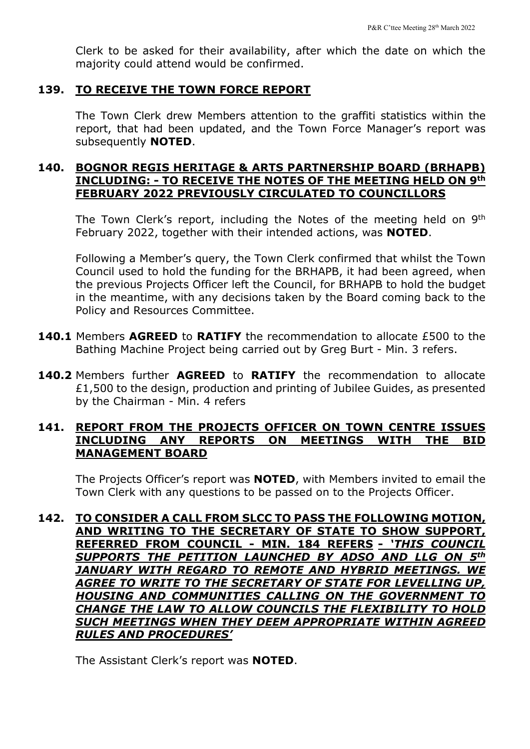Clerk to be asked for their availability, after which the date on which the majority could attend would be confirmed.

#### **139. TO RECEIVE THE TOWN FORCE REPORT**

The Town Clerk drew Members attention to the graffiti statistics within the report, that had been updated, and the Town Force Manager's report was subsequently **NOTED**.

# **140. BOGNOR REGIS HERITAGE & ARTS PARTNERSHIP BOARD (BRHAPB) INCLUDING: - TO RECEIVE THE NOTES OF THE MEETING HELD ON 9th FEBRUARY 2022 PREVIOUSLY CIRCULATED TO COUNCILLORS**

The Town Clerk's report, including the Notes of the meeting held on 9<sup>th</sup> February 2022, together with their intended actions, was **NOTED**.

Following a Member's query, the Town Clerk confirmed that whilst the Town Council used to hold the funding for the BRHAPB, it had been agreed, when the previous Projects Officer left the Council, for BRHAPB to hold the budget in the meantime, with any decisions taken by the Board coming back to the Policy and Resources Committee.

- **140.1** Members **AGREED** to **RATIFY** the recommendation to allocate £500 to the Bathing Machine Project being carried out by Greg Burt - Min. 3 refers.
- **140.2** Members further **AGREED** to **RATIFY** the recommendation to allocate £1,500 to the design, production and printing of Jubilee Guides, as presented by the Chairman - Min. 4 refers

# **141. REPORT FROM THE PROJECTS OFFICER ON TOWN CENTRE ISSUES INCLUDING ANY REPORTS ON MEETINGS WITH THE BID MANAGEMENT BOARD**

The Projects Officer's report was **NOTED**, with Members invited to email the Town Clerk with any questions to be passed on to the Projects Officer.

**142. TO CONSIDER A CALL FROM SLCC TO PASS THE FOLLOWING MOTION, AND WRITING TO THE SECRETARY OF STATE TO SHOW SUPPORT, REFERRED FROM COUNCIL - MIN. 184 REFERS -** *'THIS COUNCIL SUPPORTS THE PETITION LAUNCHED BY ADSO AND LLG ON 5th JANUARY WITH REGARD TO REMOTE AND HYBRID MEETINGS. WE AGREE TO WRITE TO THE SECRETARY OF STATE FOR LEVELLING UP, HOUSING AND COMMUNITIES CALLING ON THE GOVERNMENT TO CHANGE THE LAW TO ALLOW COUNCILS THE FLEXIBILITY TO HOLD SUCH MEETINGS WHEN THEY DEEM APPROPRIATE WITHIN AGREED RULES AND PROCEDURES'*

The Assistant Clerk's report was **NOTED**.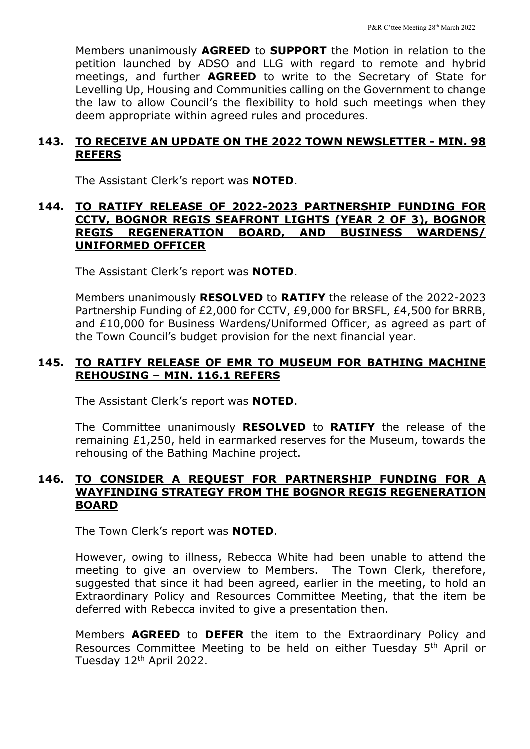Members unanimously **AGREED** to **SUPPORT** the Motion in relation to the petition launched by ADSO and LLG with regard to remote and hybrid meetings, and further **AGREED** to write to the Secretary of State for Levelling Up, Housing and Communities calling on the Government to change the law to allow Council's the flexibility to hold such meetings when they deem appropriate within agreed rules and procedures.

# **143. TO RECEIVE AN UPDATE ON THE 2022 TOWN NEWSLETTER - MIN. 98 REFERS**

The Assistant Clerk's report was **NOTED**.

### **144. TO RATIFY RELEASE OF 2022-2023 PARTNERSHIP FUNDING FOR CCTV, BOGNOR REGIS SEAFRONT LIGHTS (YEAR 2 OF 3), BOGNOR REGIS REGENERATION BOARD, AND BUSINESS WARDENS/ UNIFORMED OFFICER**

The Assistant Clerk's report was **NOTED**.

Members unanimously **RESOLVED** to **RATIFY** the release of the 2022-2023 Partnership Funding of £2,000 for CCTV, £9,000 for BRSFL, £4,500 for BRRB, and £10,000 for Business Wardens/Uniformed Officer, as agreed as part of the Town Council's budget provision for the next financial year.

# **145. TO RATIFY RELEASE OF EMR TO MUSEUM FOR BATHING MACHINE REHOUSING – MIN. 116.1 REFERS**

The Assistant Clerk's report was **NOTED**.

The Committee unanimously **RESOLVED** to **RATIFY** the release of the remaining £1,250, held in earmarked reserves for the Museum, towards the rehousing of the Bathing Machine project.

# **146. TO CONSIDER A REQUEST FOR PARTNERSHIP FUNDING FOR A WAYFINDING STRATEGY FROM THE BOGNOR REGIS REGENERATION BOARD**

The Town Clerk's report was **NOTED**.

However, owing to illness, Rebecca White had been unable to attend the meeting to give an overview to Members. The Town Clerk, therefore, suggested that since it had been agreed, earlier in the meeting, to hold an Extraordinary Policy and Resources Committee Meeting, that the item be deferred with Rebecca invited to give a presentation then.

Members **AGREED** to **DEFER** the item to the Extraordinary Policy and Resources Committee Meeting to be held on either Tuesday 5<sup>th</sup> April or Tuesday 12th April 2022.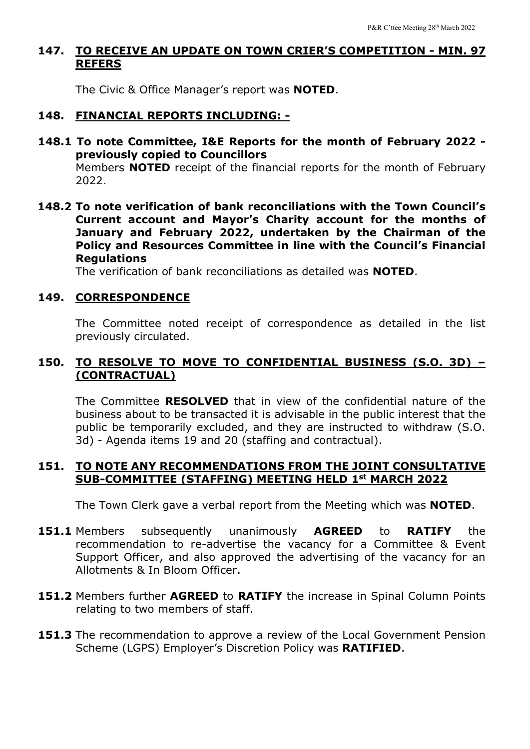# **147. TO RECEIVE AN UPDATE ON TOWN CRIER'S COMPETITION - MIN. 97 REFERS**

The Civic & Office Manager's report was **NOTED**.

#### **148. FINANCIAL REPORTS INCLUDING: -**

**148.1 To note Committee, I&E Reports for the month of February 2022 previously copied to Councillors** Members **NOTED** receipt of the financial reports for the month of February

2022.

**148.2 To note verification of bank reconciliations with the Town Council's Current account and Mayor's Charity account for the months of January and February 2022, undertaken by the Chairman of the Policy and Resources Committee in line with the Council's Financial Regulations**

The verification of bank reconciliations as detailed was **NOTED**.

#### **149. CORRESPONDENCE**

The Committee noted receipt of correspondence as detailed in the list previously circulated.

# **150. TO RESOLVE TO MOVE TO CONFIDENTIAL BUSINESS (S.O. 3D) – (CONTRACTUAL)**

The Committee **RESOLVED** that in view of the confidential nature of the business about to be transacted it is advisable in the public interest that the public be temporarily excluded, and they are instructed to withdraw (S.O. 3d) - Agenda items 19 and 20 (staffing and contractual).

### **151. TO NOTE ANY RECOMMENDATIONS FROM THE JOINT CONSULTATIVE SUB-COMMITTEE (STAFFING) MEETING HELD 1st MARCH 2022**

The Town Clerk gave a verbal report from the Meeting which was **NOTED**.

- **151.1** Members subsequently unanimously **AGREED** to **RATIFY** the recommendation to re-advertise the vacancy for a Committee & Event Support Officer, and also approved the advertising of the vacancy for an Allotments & In Bloom Officer.
- **151.2** Members further **AGREED** to **RATIFY** the increase in Spinal Column Points relating to two members of staff.
- **151.3** The recommendation to approve a review of the Local Government Pension Scheme (LGPS) Employer's Discretion Policy was **RATIFIED**.